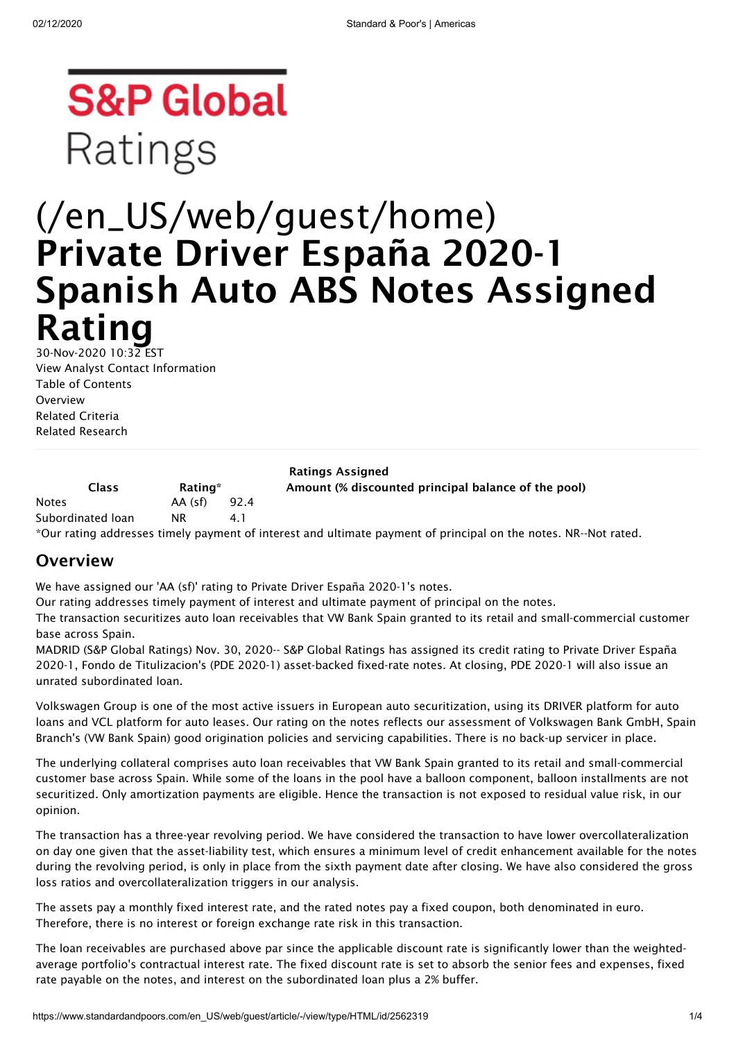# **S&P Global** Ratings

# [\(/en\\_US/web/guest/home\)](https://www.standardandpoors.com/en_US/web/guest/home) Private Driver España 2020-1 Spanish Auto ABS Notes Assigned Rating

30-Nov-2020 10:32 EST [View Analyst Contact Information](#page-2-0) [Table of Contents](javascript:void(0);) [Overview](#page-0-0) [Related Criteria](#page-1-0) [Related Research](#page-1-1)

|                   | Ratings Assigned |      |                                                                                                                |
|-------------------|------------------|------|----------------------------------------------------------------------------------------------------------------|
| Class             | Rating*          |      | Amount (% discounted principal balance of the pool)                                                            |
| <b>Notes</b>      | AA (sf)          | 92.4 |                                                                                                                |
| Subordinated loan | NR               | 4 I  |                                                                                                                |
|                   |                  |      | &∧ is seen and seen and the construction of the second determination of a transformation of a second the Micro |

\*Our rating addresses timely payment of interest and ultimate payment of principal on the notes. NR--Not rated.

## <span id="page-0-0"></span>**Overview**

We have assigned our 'AA (sf)' rating to Private Driver España 2020-1's notes.

Our rating addresses timely payment of interest and ultimate payment of principal on the notes.

The transaction securitizes auto loan receivables that VW Bank Spain granted to its retail and small-commercial customer base across Spain.

MADRID (S&P Global Ratings) Nov. 30, 2020-- S&P Global Ratings has assigned its credit rating to Private Driver España 2020-1, Fondo de Titulizacion's (PDE 2020-1) asset-backed fixed-rate notes. At closing, PDE 2020-1 will also issue an unrated subordinated loan.

Volkswagen Group is one of the most active issuers in European auto securitization, using its DRIVER platform for auto loans and VCL platform for auto leases. Our rating on the notes reflects our assessment of Volkswagen Bank GmbH, Spain Branch's (VW Bank Spain) good origination policies and servicing capabilities. There is no back-up servicer in place.

The underlying collateral comprises auto loan receivables that VW Bank Spain granted to its retail and small-commercial customer base across Spain. While some of the loans in the pool have a balloon component, balloon installments are not securitized. Only amortization payments are eligible. Hence the transaction is not exposed to residual value risk, in our opinion.

The transaction has a three-year revolving period. We have considered the transaction to have lower overcollateralization on day one given that the asset-liability test, which ensures a minimum level of credit enhancement available for the notes during the revolving period, is only in place from the sixth payment date after closing. We have also considered the gross loss ratios and overcollateralization triggers in our analysis.

The assets pay a monthly fixed interest rate, and the rated notes pay a fixed coupon, both denominated in euro. Therefore, there is no interest or foreign exchange rate risk in this transaction.

The loan receivables are purchased above par since the applicable discount rate is significantly lower than the weightedaverage portfolio's contractual interest rate. The fixed discount rate is set to absorb the senior fees and expenses, fixed rate payable on the notes, and interest on the subordinated loan plus a 2% buffer.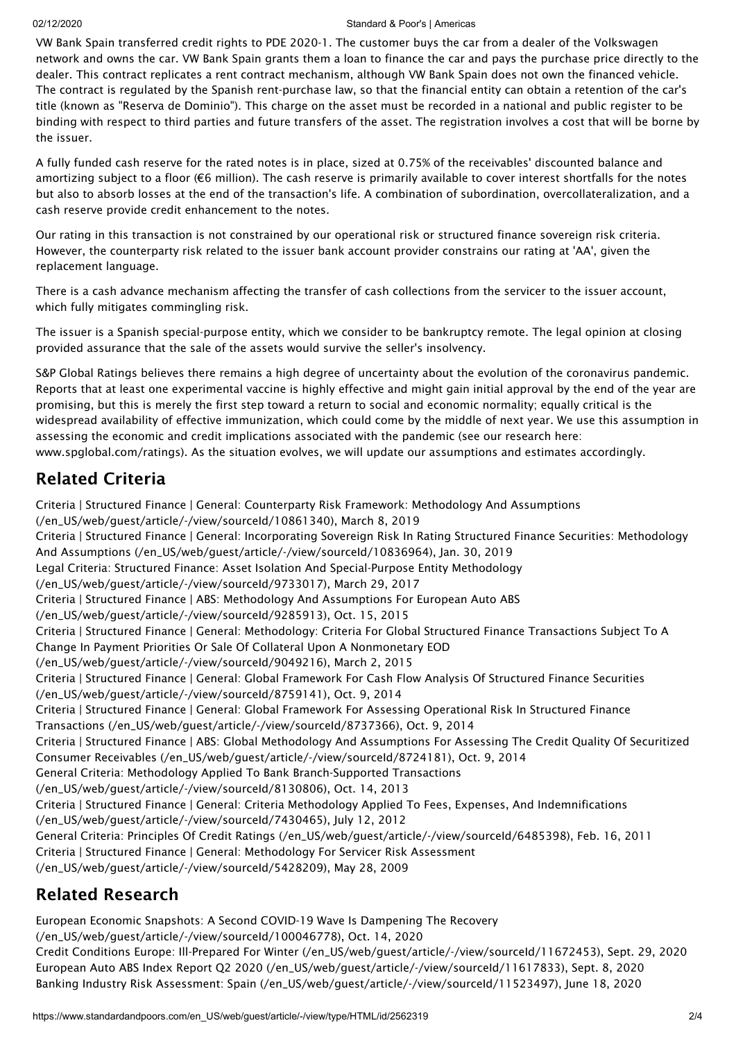### 02/12/2020 Standard & Poor's | Americas

VW Bank Spain transferred credit rights to PDE 2020-1. The customer buys the car from a dealer of the Volkswagen network and owns the car. VW Bank Spain grants them a loan to finance the car and pays the purchase price directly to the dealer. This contract replicates a rent contract mechanism, although VW Bank Spain does not own the financed vehicle. The contract is regulated by the Spanish rent-purchase law, so that the financial entity can obtain a retention of the car's title (known as "Reserva de Dominio"). This charge on the asset must be recorded in a national and public register to be binding with respect to third parties and future transfers of the asset. The registration involves a cost that will be borne by the issuer.

A fully funded cash reserve for the rated notes is in place, sized at 0.75% of the receivables' discounted balance and amortizing subject to a floor (€6 million). The cash reserve is primarily available to cover interest shortfalls for the notes but also to absorb losses at the end of the transaction's life. A combination of subordination, overcollateralization, and a cash reserve provide credit enhancement to the notes.

Our rating in this transaction is not constrained by our operational risk or structured finance sovereign risk criteria. However, the counterparty risk related to the issuer bank account provider constrains our rating at 'AA', given the replacement language.

There is a cash advance mechanism affecting the transfer of cash collections from the servicer to the issuer account, which fully mitigates commingling risk.

The issuer is a Spanish special-purpose entity, which we consider to be bankruptcy remote. The legal opinion at closing provided assurance that the sale of the assets would survive the seller's insolvency.

S&P Global Ratings believes there remains a high degree of uncertainty about the evolution of the coronavirus pandemic. Reports that at least one experimental vaccine is highly effective and might gain initial approval by the end of the year are promising, but this is merely the first step toward a return to social and economic normality; equally critical is the widespread availability of effective immunization, which could come by the middle of next year. We use this assumption in assessing the economic and credit implications associated with the pandemic (see our research here: www.spglobal.com/ratings). As the situation evolves, we will update our assumptions and estimates accordingly.

# <span id="page-1-0"></span>Related Criteria

[Criteria | Structured Finance | General: Counterparty Risk Framework: Methodology And Assumptions](https://www.standardandpoors.com/en_US/web/guest/article/-/view/sourceId/10861340) (/en\_US/web/guest/article/-/view/sourceId/10861340), March 8, 2019 [Criteria | Structured Finance | General: Incorporating Sovereign Risk In Rating Structured Finance Securities: Methodology](https://www.standardandpoors.com/en_US/web/guest/article/-/view/sourceId/10836964) And Assumptions (/en\_US/web/guest/article/-/view/sourceId/10836964), Jan. 30, 2019 [Legal Criteria: Structured Finance: Asset Isolation And Special-Purpose Entity Methodology](https://www.standardandpoors.com/en_US/web/guest/article/-/view/sourceId/9733017) (/en\_US/web/guest/article/-/view/sourceId/9733017), March 29, 2017 [Criteria | Structured Finance | ABS: Methodology And Assumptions For European Auto ABS](https://www.standardandpoors.com/en_US/web/guest/article/-/view/sourceId/9285913) (/en\_US/web/guest/article/-/view/sourceId/9285913), Oct. 15, 2015 [Criteria | Structured Finance | General: Methodology: Criteria For Global Structured Finance Transactions Subject To A](https://www.standardandpoors.com/en_US/web/guest/article/-/view/sourceId/9049216) Change In Payment Priorities Or Sale Of Collateral Upon A Nonmonetary EOD (/en\_US/web/guest/article/-/view/sourceId/9049216), March 2, 2015 [Criteria | Structured Finance | General: Global Framework For Cash Flow Analysis Of Structured Finance Securities](https://www.standardandpoors.com/en_US/web/guest/article/-/view/sourceId/8759141) (/en\_US/web/guest/article/-/view/sourceId/8759141), Oct. 9, 2014 [Criteria | Structured Finance | General: Global Framework For Assessing Operational Risk In Structured Finance](https://www.standardandpoors.com/en_US/web/guest/article/-/view/sourceId/8737366) Transactions (/en\_US/web/guest/article/-/view/sourceId/8737366), Oct. 9, 2014 [Criteria | Structured Finance | ABS: Global Methodology And Assumptions For Assessing The Credit Quality Of Securitized](https://www.standardandpoors.com/en_US/web/guest/article/-/view/sourceId/8724181) Consumer Receivables (/en\_US/web/guest/article/-/view/sourceId/8724181), Oct. 9, 2014 [General Criteria: Methodology Applied To Bank Branch-Supported Transactions](https://www.standardandpoors.com/en_US/web/guest/article/-/view/sourceId/8130806) (/en\_US/web/guest/article/-/view/sourceId/8130806), Oct. 14, 2013 [Criteria | Structured Finance | General: Criteria Methodology Applied To Fees, Expenses, And Indemnifications](https://www.standardandpoors.com/en_US/web/guest/article/-/view/sourceId/7430465) (/en\_US/web/guest/article/-/view/sourceId/7430465), July 12, 2012 [General Criteria: Principles Of Credit Ratings \(/en\\_US/web/guest/article/-/view/sourceId/6485398\)](https://www.standardandpoors.com/en_US/web/guest/article/-/view/sourceId/6485398), Feb. 16, 2011 [Criteria | Structured Finance | General: Methodology For Servicer Risk Assessment](https://www.standardandpoors.com/en_US/web/guest/article/-/view/sourceId/5428209) (/en\_US/web/guest/article/-/view/sourceId/5428209), May 28, 2009

# <span id="page-1-1"></span>Related Research

[European Economic Snapshots: A Second COVID-19 Wave Is Dampening The Recovery](https://www.standardandpoors.com/en_US/web/guest/article/-/view/sourceId/100046778)

(/en\_US/web/guest/article/-/view/sourceId/100046778), Oct. 14, 2020

[Credit Conditions Europe: Ill-Prepared For Winter \(/en\\_US/web/guest/article/-/view/sourceId/11672453\),](https://www.standardandpoors.com/en_US/web/guest/article/-/view/sourceId/11672453) Sept. 29, 2020 [European Auto ABS Index Report Q2 2020 \(/en\\_US/web/guest/article/-/view/sourceId/11617833\),](https://www.standardandpoors.com/en_US/web/guest/article/-/view/sourceId/11617833) Sept. 8, 2020 [Banking Industry Risk Assessment: Spain \(/en\\_US/web/guest/article/-/view/sourceId/11523497\)](https://www.standardandpoors.com/en_US/web/guest/article/-/view/sourceId/11523497), June 18, 2020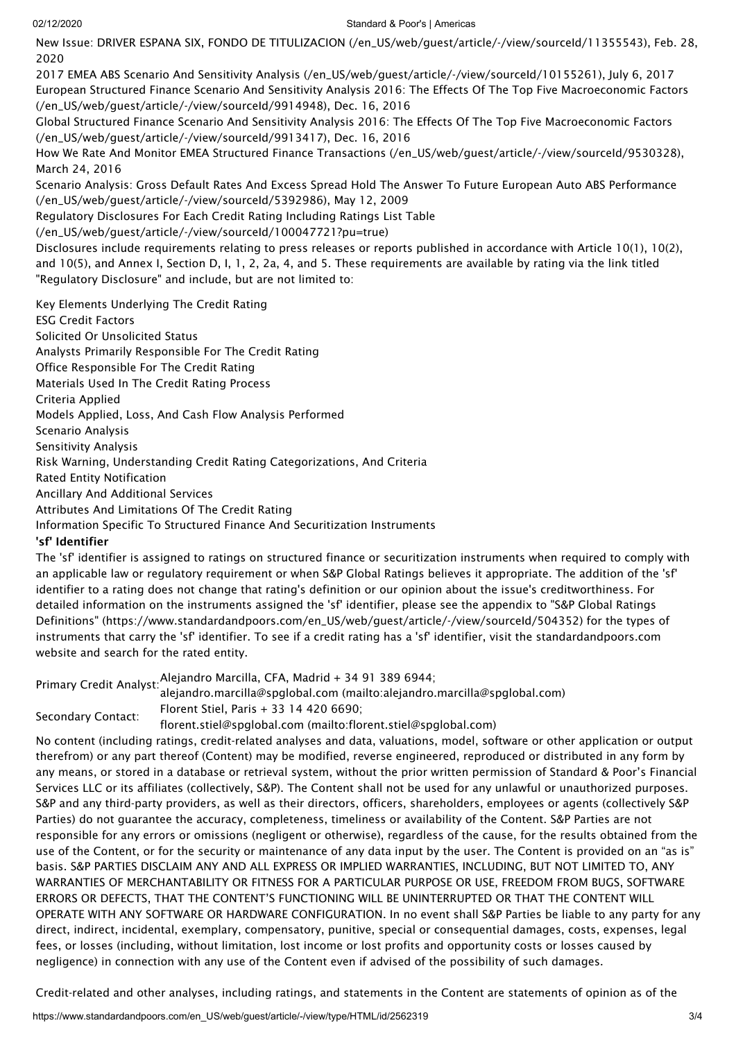### 02/12/2020 Standard & Poor's | Americas

[New Issue: DRIVER ESPANA SIX, FONDO DE TITULIZACION \(/en\\_US/web/guest/article/-/view/sourceId/11355543\)](https://www.standardandpoors.com/en_US/web/guest/article/-/view/sourceId/11355543), Feb. 28, 2020

[2017 EMEA ABS Scenario And Sensitivity Analysis \(/en\\_US/web/guest/article/-/view/sourceId/10155261\)](https://www.standardandpoors.com/en_US/web/guest/article/-/view/sourceId/10155261), July 6, 2017 [European Structured Finance Scenario And Sensitivity Analysis 2016: The Effects Of The Top Five Macroeconomic Factors](https://www.standardandpoors.com/en_US/web/guest/article/-/view/sourceId/9914948) (/en\_US/web/guest/article/-/view/sourceId/9914948), Dec. 16, 2016

[Global Structured Finance Scenario And Sensitivity Analysis 2016: The Effects Of The Top Five Macroeconomic Factors](https://www.standardandpoors.com/en_US/web/guest/article/-/view/sourceId/9913417) (/en\_US/web/guest/article/-/view/sourceId/9913417), Dec. 16, 2016

[How We Rate And Monitor EMEA Structured Finance Transactions \(/en\\_US/web/guest/article/-/view/sourceId/9530328\)](https://www.standardandpoors.com/en_US/web/guest/article/-/view/sourceId/9530328), March 24, 2016

[Scenario Analysis: Gross Default Rates And Excess Spread Hold The Answer To Future European Auto ABS Performance](https://www.standardandpoors.com/en_US/web/guest/article/-/view/sourceId/5392986) (/en\_US/web/guest/article/-/view/sourceId/5392986), May 12, 2009

[Regulatory Disclosures For Each Credit Rating Including Ratings List Table](https://www.standardandpoors.com/en_US/web/guest/article/-/view/sourceId/100047721?pu=true)

(/en\_US/web/guest/article/-/view/sourceId/100047721?pu=true)

Disclosures include requirements relating to press releases or reports published in accordance with Article 10(1), 10(2), and 10(5), and Annex I, Section D, I, 1, 2, 2a, 4, and 5. These requirements are available by rating via the link titled "Regulatory Disclosure" and include, but are not limited to:

Key Elements Underlying The Credit Rating

ESG Credit Factors

Solicited Or Unsolicited Status

Analysts Primarily Responsible For The Credit Rating

Office Responsible For The Credit Rating

Materials Used In The Credit Rating Process

Criteria Applied

Models Applied, Loss, And Cash Flow Analysis Performed

Scenario Analysis

Sensitivity Analysis

Risk Warning, Understanding Credit Rating Categorizations, And Criteria

Rated Entity Notification

Ancillary And Additional Services

Attributes And Limitations Of The Credit Rating

Information Specific To Structured Finance And Securitization Instruments

## 'sf' Identifier

The 'sf' identifier is assigned to ratings on structured finance or securitization instruments when required to comply with an applicable law or regulatory requirement or when S&P Global Ratings believes it appropriate. The addition of the 'sf' identifier to a rating does not change that rating's definition or our opinion about the issue's creditworthiness. For detailed information on the instruments assigned the 'sf' identifier, please see the appendix to "S&P Global Ratings [Definitions" \(https://www.standardandpoors.com/en\\_US/web/guest/article/-/view/sourceId/504352\) for the types](https://www.standardandpoors.com/en_US/web/guest/article/-/view/sourceId/504352) of instruments that carry the 'sf' identifier. To see if a credit rating has a 'sf' identifier, visit the standardandpoors.com website and search for the rated entity.

<span id="page-2-0"></span>Primary Credit Analyst: Alejandro Marcilla, CFA, Madrid + 34 91 389 6944;

[alejandro.marcilla@spglobal.com \(mailto:alejandro.marcilla@spglobal.com\)](mailto:alejandro.marcilla@spglobal.com)

Secondary Contact: Florent Stiel, Paris + 33 14 420 6690;

[florent.stiel@spglobal.com \(mailto:florent.stiel@spglobal.com\)](mailto:florent.stiel@spglobal.com)

No content (including ratings, credit-related analyses and data, valuations, model, software or other application or output therefrom) or any part thereof (Content) may be modified, reverse engineered, reproduced or distributed in any form by any means, or stored in a database or retrieval system, without the prior written permission of Standard & Poor's Financial Services LLC or its affiliates (collectively, S&P). The Content shall not be used for any unlawful or unauthorized purposes. S&P and any third-party providers, as well as their directors, officers, shareholders, employees or agents (collectively S&P Parties) do not guarantee the accuracy, completeness, timeliness or availability of the Content. S&P Parties are not responsible for any errors or omissions (negligent or otherwise), regardless of the cause, for the results obtained from the use of the Content, or for the security or maintenance of any data input by the user. The Content is provided on an "as is" basis. S&P PARTIES DISCLAIM ANY AND ALL EXPRESS OR IMPLIED WARRANTIES, INCLUDING, BUT NOT LIMITED TO, ANY WARRANTIES OF MERCHANTABILITY OR FITNESS FOR A PARTICULAR PURPOSE OR USE, FREEDOM FROM BUGS, SOFTWARE ERRORS OR DEFECTS, THAT THE CONTENT'S FUNCTIONING WILL BE UNINTERRUPTED OR THAT THE CONTENT WILL OPERATE WITH ANY SOFTWARE OR HARDWARE CONFIGURATION. In no event shall S&P Parties be liable to any party for any direct, indirect, incidental, exemplary, compensatory, punitive, special or consequential damages, costs, expenses, legal fees, or losses (including, without limitation, lost income or lost profits and opportunity costs or losses caused by negligence) in connection with any use of the Content even if advised of the possibility of such damages.

Credit-related and other analyses, including ratings, and statements in the Content are statements of opinion as of the